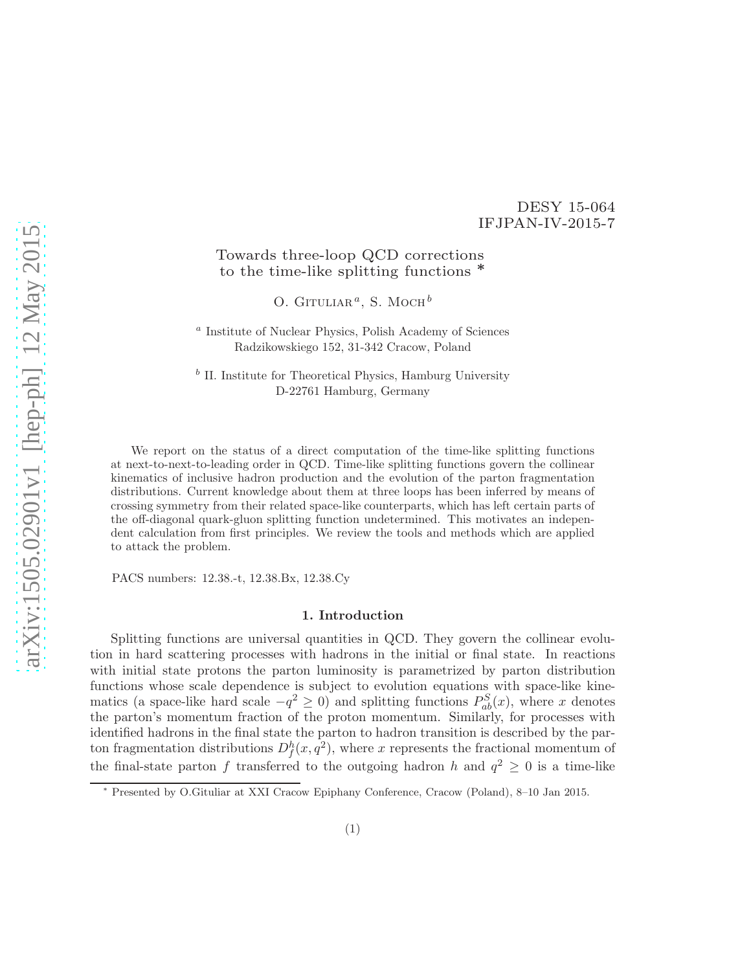## DESY 15-064 IFJPAN-IV-2015-7

# Towards three-loop QCD corrections to the time-like splitting functions <sup>∗</sup>

O. GITULIAR<sup> $a$ </sup>, S. Moch<sup>b</sup>

a Institute of Nuclear Physics, Polish Academy of Sciences Radzikowskiego 152, 31-342 Cracow, Poland

 $b$  II. Institute for Theoretical Physics, Hamburg University D-22761 Hamburg, Germany

We report on the status of a direct computation of the time-like splitting functions at next-to-next-to-leading order in QCD. Time-like splitting functions govern the collinear kinematics of inclusive hadron production and the evolution of the parton fragmentation distributions. Current knowledge about them at three loops has been inferred by means of crossing symmetry from their related space-like counterparts, which has left certain parts of the off-diagonal quark-gluon splitting function undetermined. This motivates an independent calculation from first principles. We review the tools and methods which are applied to attack the problem.

PACS numbers: 12.38.-t, 12.38.Bx, 12.38.Cy

### 1. Introduction

Splitting functions are universal quantities in QCD. They govern the collinear evolution in hard scattering processes with hadrons in the initial or final state. In reactions with initial state protons the parton luminosity is parametrized by parton distribution functions whose scale dependence is subject to evolution equations with space-like kinematics (a space-like hard scale  $-q^2 \ge 0$ ) and splitting functions  $P_{ab}^S(x)$ , where x denotes the parton's momentum fraction of the proton momentum. Similarly, for processes with identified hadrons in the final state the parton to hadron transition is described by the parton fragmentation distributions  $D_f^h(x,q^2)$ , where x represents the fractional momentum of the final-state parton f transferred to the outgoing hadron h and  $q^2 \geq 0$  is a time-like

<sup>∗</sup> Presented by O.Gituliar at XXI Cracow Epiphany Conference, Cracow (Poland), 8–10 Jan 2015.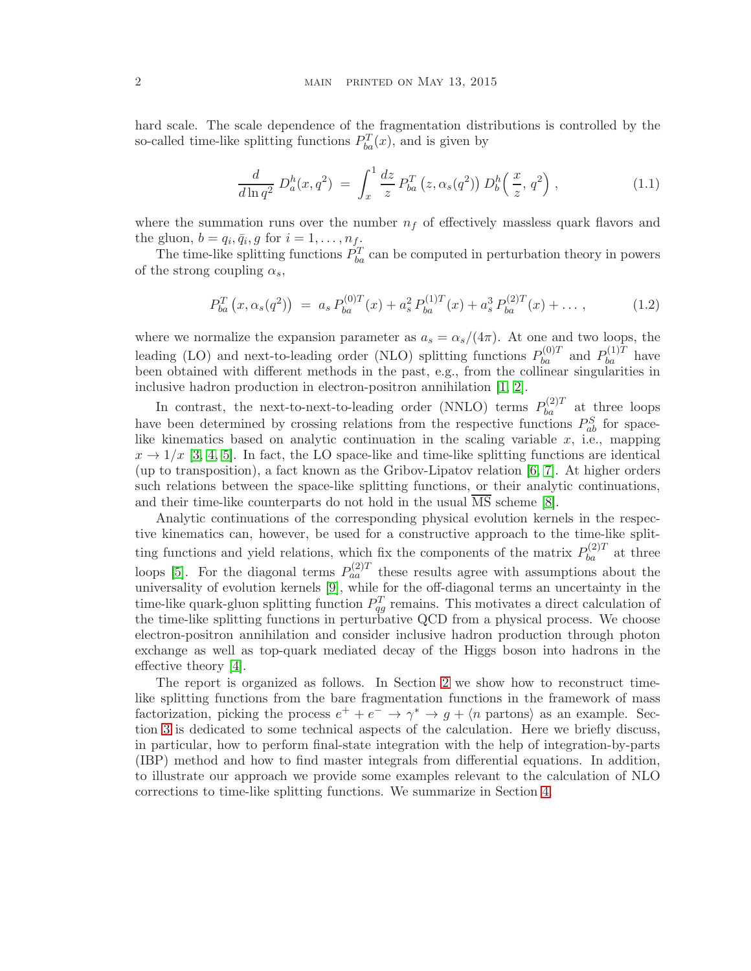hard scale. The scale dependence of the fragmentation distributions is controlled by the so-called time-like splitting functions  $P_{ba}^T(x)$ , and is given by

$$
\frac{d}{d\ln q^2} D_a^h(x, q^2) = \int_x^1 \frac{dz}{z} P_{ba}^T(z, \alpha_s(q^2)) D_b^h\left(\frac{x}{z}, q^2\right), \qquad (1.1)
$$

where the summation runs over the number  $n_f$  of effectively massless quark flavors and the gluon,  $b = q_i, \bar{q}_i, g$  for  $i = 1, \ldots, n_f$ .

The time-like splitting functions  $P_{ba}^T$  can be computed in perturbation theory in powers of the strong coupling  $\alpha_s$ ,

$$
P_{ba}^T(x, \alpha_s(q^2)) = a_s P_{ba}^{(0)T}(x) + a_s^2 P_{ba}^{(1)T}(x) + a_s^3 P_{ba}^{(2)T}(x) + \dots, \qquad (1.2)
$$

where we normalize the expansion parameter as  $a_s = \alpha_s/(4\pi)$ . At one and two loops, the leading (LO) and next-to-leading order (NLO) splitting functions  $P_{ba}^{(0)T}$  and  $P_{ba}^{(1)T}$  have been obtained with different methods in the past, e.g., from the collinear singularities in inclusive hadron production in electron-positron annihilation [\[1,](#page-9-0) [2\]](#page-9-1).

In contrast, the next-to-next-to-leading order (NNLO) terms  $P_{ba}^{(2)T}$  at three loops have been determined by crossing relations from the respective functions  $P_{ab}^S$  for spacelike kinematics based on analytic continuation in the scaling variable  $x$ , i.e., mapping  $x \to 1/x$  [\[3,](#page-9-2) [4,](#page-9-3) [5\]](#page-9-4). In fact, the LO space-like and time-like splitting functions are identical (up to transposition), a fact known as the Gribov-Lipatov relation [\[6,](#page-9-5) [7\]](#page-9-6). At higher orders such relations between the space-like splitting functions, or their analytic continuations, and their time-like counterparts do not hold in the usual  $\overline{\text{MS}}$  scheme [\[8\]](#page-9-7).

Analytic continuations of the corresponding physical evolution kernels in the respective kinematics can, however, be used for a constructive approach to the time-like splitting functions and yield relations, which fix the components of the matrix  $P_{ba}^{(2)T}$  at three loops [\[5\]](#page-9-4). For the diagonal terms  $P_{aa}^{(2)T}$  these results agree with assumptions about the universality of evolution kernels [\[9\]](#page-9-8), while for the off-diagonal terms an uncertainty in the time-like quark-gluon splitting function  $P_{qg}^T$  remains. This motivates a direct calculation of the time-like splitting functions in perturbative QCD from a physical process. We choose electron-positron annihilation and consider inclusive hadron production through photon exchange as well as top-quark mediated decay of the Higgs boson into hadrons in the effective theory [\[4\]](#page-9-3).

The report is organized as follows. In Section [2](#page-2-0) we show how to reconstruct timelike splitting functions from the bare fragmentation functions in the framework of mass factorization, picking the process  $e^+ + e^- \rightarrow \gamma^* \rightarrow g + \langle n \text{ partons} \rangle$  as an example. Section [3](#page-4-0) is dedicated to some technical aspects of the calculation. Here we briefly discuss, in particular, how to perform final-state integration with the help of integration-by-parts (IBP) method and how to find master integrals from differential equations. In addition, to illustrate our approach we provide some examples relevant to the calculation of NLO corrections to time-like splitting functions. We summarize in Section [4.](#page-8-0)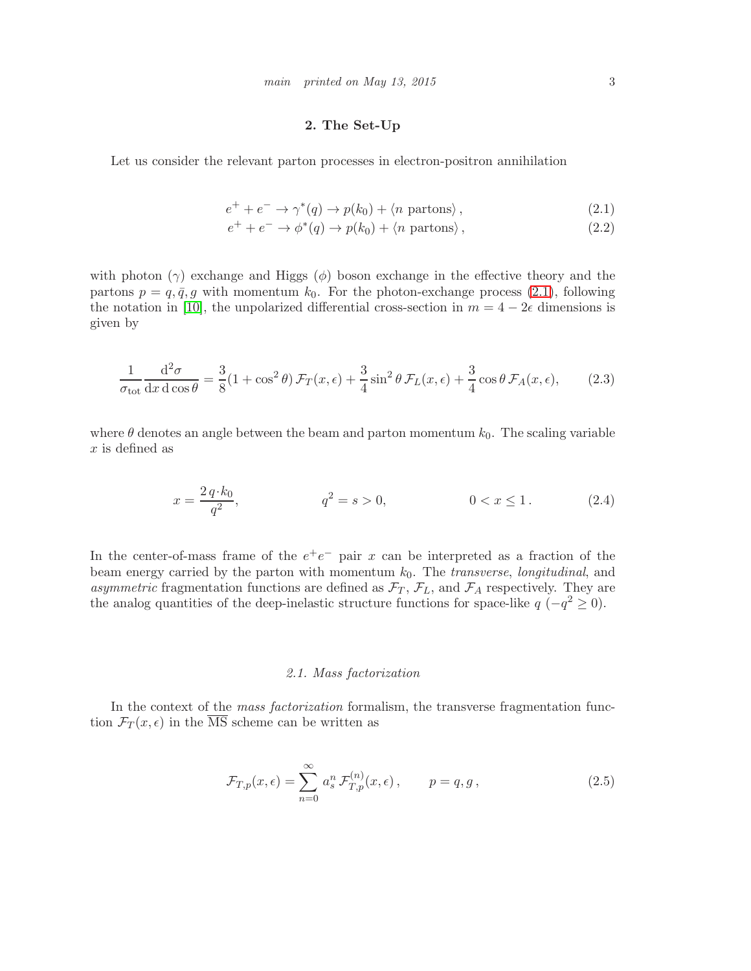### 2. The Set-Up

<span id="page-2-0"></span>Let us consider the relevant parton processes in electron-positron annihilation

<span id="page-2-1"></span>
$$
e^{+} + e^{-} \rightarrow \gamma^{*}(q) \rightarrow p(k_0) + \langle n \text{ partons} \rangle, \qquad (2.1)
$$

$$
e^{+} + e^{-} \rightarrow \phi^{*}(q) \rightarrow p(k_0) + \langle n \text{ partons} \rangle, \qquad (2.2)
$$

with photon  $(\gamma)$  exchange and Higgs  $(\phi)$  boson exchange in the effective theory and the partons  $p = q, \bar{q}, g$  with momentum  $k_0$ . For the photon-exchange process [\(2.1\)](#page-2-1), following the notation in [\[10\]](#page-9-9), the unpolarized differential cross-section in  $m = 4 - 2\epsilon$  dimensions is given by

$$
\frac{1}{\sigma_{\text{tot}}} \frac{d^2 \sigma}{dx d \cos \theta} = \frac{3}{8} (1 + \cos^2 \theta) \mathcal{F}_T(x, \epsilon) + \frac{3}{4} \sin^2 \theta \mathcal{F}_L(x, \epsilon) + \frac{3}{4} \cos \theta \mathcal{F}_A(x, \epsilon), \quad (2.3)
$$

where  $\theta$  denotes an angle between the beam and parton momentum  $k_0$ . The scaling variable  $x$  is defined as

$$
x = \frac{2 q \cdot k_0}{q^2}, \qquad \qquad q^2 = s > 0, \qquad 0 < x \le 1. \tag{2.4}
$$

In the center-of-mass frame of the  $e^+e^-$  pair x can be interpreted as a fraction of the beam energy carried by the parton with momentum  $k_0$ . The *transverse*, *longitudinal*, and asymmetric fragmentation functions are defined as  $\mathcal{F}_T$ ,  $\mathcal{F}_L$ , and  $\mathcal{F}_A$  respectively. They are the analog quantities of the deep-inelastic structure functions for space-like  $q(-q^2 \ge 0)$ .

### 2.1. Mass factorization

In the context of the *mass factorization* formalism, the transverse fragmentation function  $\mathcal{F}_T(x,\epsilon)$  in the  $\overline{\text{MS}}$  scheme can be written as

$$
\mathcal{F}_{T,p}(x,\epsilon) = \sum_{n=0}^{\infty} a_s^n \mathcal{F}_{T,p}^{(n)}(x,\epsilon), \qquad p = q, g,
$$
\n(2.5)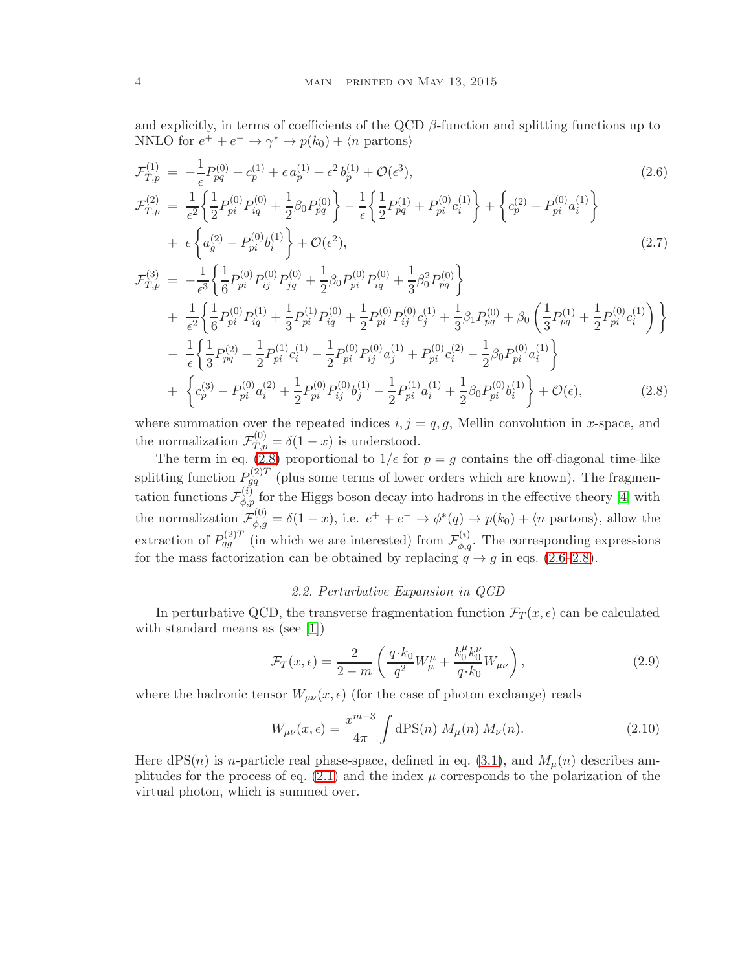and explicitly, in terms of coefficients of the QCD  $\beta$ -function and splitting functions up to NNLO for  $e^+ + e^- \rightarrow \gamma^* \rightarrow p(k_0) + \langle n \text{ partons} \rangle$ 

<span id="page-3-0"></span>
$$
\mathcal{F}_{T,p}^{(1)} = -\frac{1}{\epsilon} P_{pq}^{(0)} + c_p^{(1)} + \epsilon a_p^{(1)} + \epsilon^2 b_p^{(1)} + \mathcal{O}(\epsilon^3),
$$
\n
$$
\mathcal{F}_{T,p}^{(2)} = \frac{1}{\epsilon^2} \left\{ \frac{1}{2} P_{pi}^{(0)} P_{iq}^{(0)} + \frac{1}{2} \beta_0 P_{pq}^{(0)} \right\} - \frac{1}{\epsilon} \left\{ \frac{1}{2} P_{pq}^{(1)} + P_{pi}^{(0)} c_i^{(1)} \right\} + \left\{ c_p^{(2)} - P_{pi}^{(0)} a_i^{(1)} \right\}
$$
\n
$$
+ \epsilon \left\{ a_g^{(2)} - P_{pi}^{(0)} b_i^{(1)} \right\} + \mathcal{O}(\epsilon^2),
$$
\n(2.7)

$$
\mathcal{F}_{T,p}^{(3)} = -\frac{1}{\epsilon^3} \left\{ \frac{1}{6} P_{pi}^{(0)} P_{ij}^{(0)} P_{jq}^{(0)} + \frac{1}{2} \beta_0 P_{pi}^{(0)} P_{iq}^{(0)} + \frac{1}{3} \beta_0^2 P_{pq}^{(0)} \right\} \n+ \frac{1}{\epsilon^2} \left\{ \frac{1}{6} P_{pi}^{(0)} P_{iq}^{(1)} + \frac{1}{3} P_{pi}^{(1)} P_{iq}^{(0)} + \frac{1}{2} P_{pi}^{(0)} P_{ij}^{(0)} c_j^{(1)} + \frac{1}{3} \beta_1 P_{pq}^{(0)} + \beta_0 \left( \frac{1}{3} P_{pq}^{(1)} + \frac{1}{2} P_{pi}^{(0)} c_i^{(1)} \right) \right\} \n- \frac{1}{\epsilon} \left\{ \frac{1}{3} P_{pq}^{(2)} + \frac{1}{2} P_{pi}^{(1)} c_i^{(1)} - \frac{1}{2} P_{pi}^{(0)} P_{ij}^{(0)} a_j^{(1)} + P_{pi}^{(0)} c_i^{(2)} - \frac{1}{2} \beta_0 P_{pi}^{(0)} a_i^{(1)} \right\} \n+ \left\{ c_p^{(3)} - P_{pi}^{(0)} a_i^{(2)} + \frac{1}{2} P_{pi}^{(0)} P_{ij}^{(0)} b_j^{(1)} - \frac{1}{2} P_{pi}^{(1)} a_i^{(1)} + \frac{1}{2} \beta_0 P_{pi}^{(0)} b_i^{(1)} \right\} + \mathcal{O}(\epsilon),
$$
\n(2.8)

where summation over the repeated indices  $i, j = q, g$ , Mellin convolution in x-space, and the normalization  $\mathcal{F}_{T,p}^{(0)} = \delta(1-x)$  is understood.

The term in eq. [\(2.8\)](#page-3-0) proportional to  $1/\epsilon$  for  $p = g$  contains the off-diagonal time-like splitting function  $P_{gq}^{(2)T}$  (plus some terms of lower orders which are known). The fragmentation functions  $\mathcal{F}_{\phi,p}^{(i)}$  for the Higgs boson decay into hadrons in the effective theory [\[4\]](#page-9-3) with the normalization  $\mathcal{F}_{\phi,g}^{(0)} = \delta(1-x)$ , i.e.  $e^+ + e^- \to \phi^*(q) \to p(k_0) + \langle n \text{ partons} \rangle$ , allow the extraction of  $P_{qg}^{(2)T}$  (in which we are interested) from  $\mathcal{F}_{\phi,q}^{(i)}$ . The corresponding expressions for the mass factorization can be obtained by replacing  $q \rightarrow g$  in eqs. [\(2.6–2.8\)](#page-3-0).

### 2.2. Perturbative Expansion in QCD

In perturbative QCD, the transverse fragmentation function  $\mathcal{F}_T(x,\epsilon)$  can be calculated with standard means as (see [\[1\]](#page-9-0))

$$
\mathcal{F}_T(x,\epsilon) = \frac{2}{2-m} \left( \frac{q \cdot k_0}{q^2} W^{\mu}_{\mu} + \frac{k_0^{\mu} k_0^{\nu}}{q \cdot k_0} W_{\mu \nu} \right),
$$
\n(2.9)

where the hadronic tensor  $W_{\mu\nu}(x,\epsilon)$  (for the case of photon exchange) reads

<span id="page-3-1"></span>
$$
W_{\mu\nu}(x,\epsilon) = \frac{x^{m-3}}{4\pi} \int d\mathbf{PS}(n) \ M_{\mu}(n) \ M_{\nu}(n).
$$
 (2.10)

Here  $dPS(n)$  is *n*-particle real phase-space, defined in eq. [\(3.1\)](#page-4-1), and  $M<sub>\mu</sub>(n)$  describes amplitudes for the process of eq.  $(2.1)$  and the index  $\mu$  corresponds to the polarization of the virtual photon, which is summed over.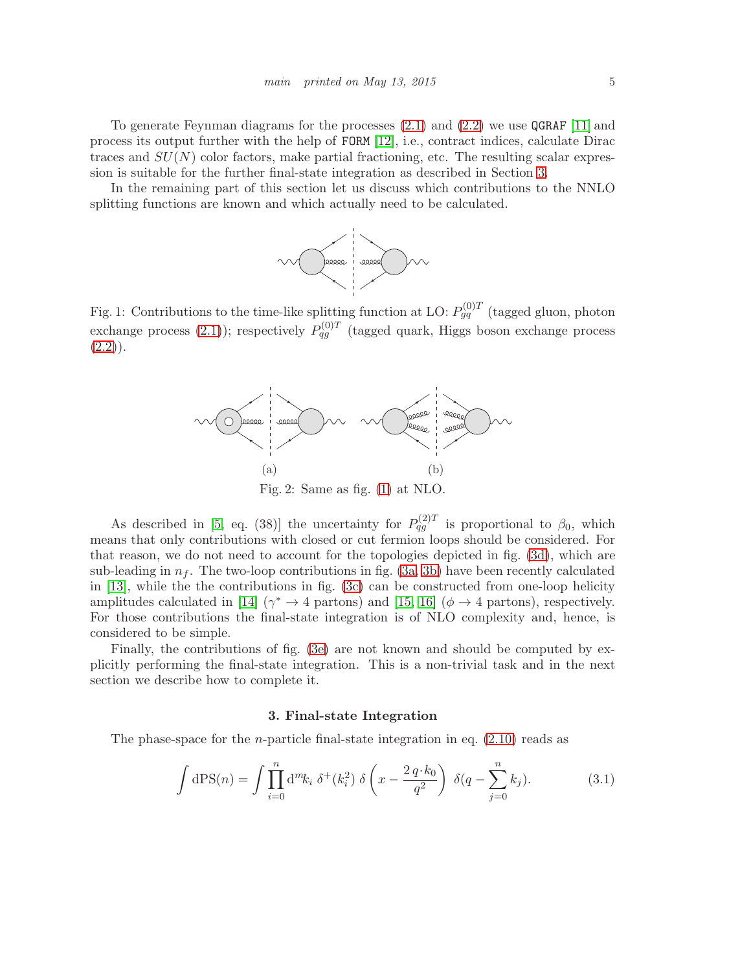To generate Feynman diagrams for the processes [\(2.1\)](#page-2-1) and [\(2.2\)](#page-2-1) we use QGRAF [\[11\]](#page-9-10) and process its output further with the help of FORM [\[12\]](#page-9-11), i.e., contract indices, calculate Dirac traces and  $SU(N)$  color factors, make partial fractioning, etc. The resulting scalar expression is suitable for the further final-state integration as described in Section [3.](#page-4-0)

<span id="page-4-2"></span>In the remaining part of this section let us discuss which contributions to the NNLO splitting functions are known and which actually need to be calculated.



<span id="page-4-3"></span>Fig. 1: Contributions to the time-like splitting function at LO:  $P_{gq}^{(0)T}$  (tagged gluon, photon exchange process [\(2.1\)](#page-2-1)); respectively  $P_{qg}^{(0)T}$  (tagged quark, Higgs boson exchange process  $(2.2)$ .



As described in [\[5,](#page-9-4) eq. (38)] the uncertainty for  $P_{qg}^{(2)T}$  is proportional to  $\beta_0$ , which means that only contributions with closed or cut fermion loops should be considered. For that reason, we do not need to account for the topologies depicted in fig. [\(3d\)](#page-5-0), which are sub-leading in  $n_f$ . The two-loop contributions in fig. [\(3a, 3b\)](#page-5-0) have been recently calculated in [\[13\]](#page-9-12), while the the contributions in fig. [\(3c\)](#page-5-0) can be constructed from one-loop helicity amplitudes calculated in [\[14\]](#page-9-13)  $(\gamma^* \to 4 \text{ partons})$  and [\[15,](#page-9-14) [16\]](#page-9-15)  $(\phi \to 4 \text{ partons})$ , respectively. For those contributions the final-state integration is of NLO complexity and, hence, is considered to be simple.

Finally, the contributions of fig. [\(3e\)](#page-5-0) are not known and should be computed by explicitly performing the final-state integration. This is a non-trivial task and in the next section we describe how to complete it.

#### 3. Final-state Integration

<span id="page-4-0"></span>The phase-space for the *n*-particle final-state integration in eq.  $(2.10)$  reads as

<span id="page-4-1"></span>
$$
\int dPS(n) = \int \prod_{i=0}^{n} d^{m}k_{i} \, \delta^{+}(k_{i}^{2}) \, \delta\left(x - \frac{2 \, q \cdot k_{0}}{q^{2}}\right) \, \delta(q - \sum_{j=0}^{n} k_{j}). \tag{3.1}
$$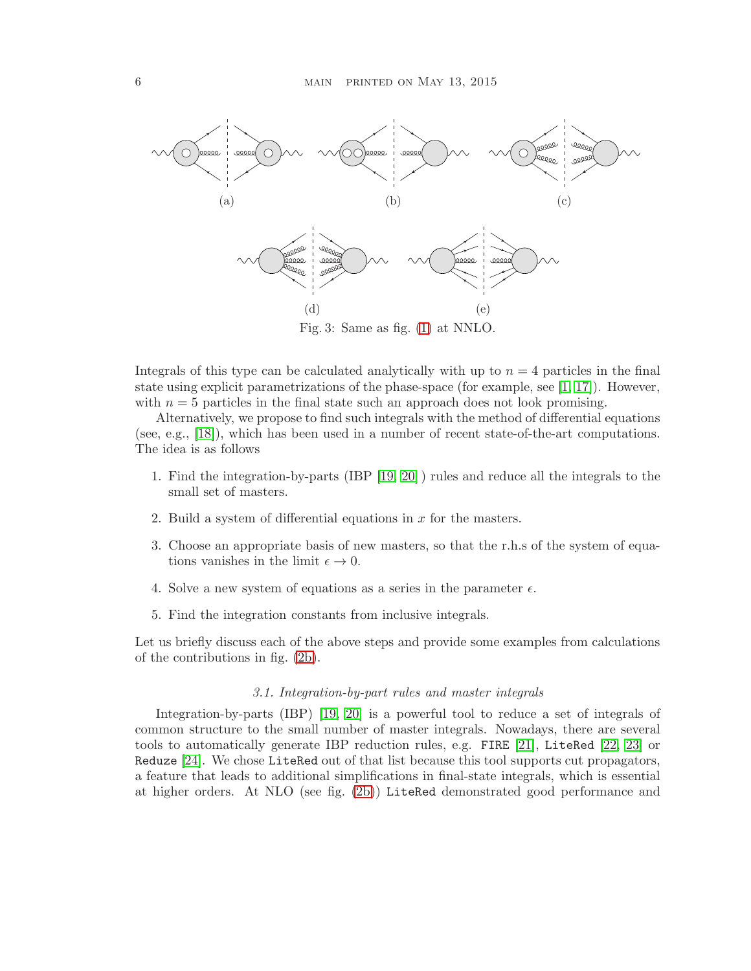<span id="page-5-0"></span>

Integrals of this type can be calculated analytically with up to  $n = 4$  particles in the final state using explicit parametrizations of the phase-space (for example, see  $[1, 17]$  $[1, 17]$ ). However, with  $n = 5$  particles in the final state such an approach does not look promising.

Alternatively, we propose to find such integrals with the method of differential equations (see, e.g., [\[18\]](#page-9-17)), which has been used in a number of recent state-of-the-art computations. The idea is as follows

- 1. Find the integration-by-parts (IBP [\[19,](#page-9-18) [20\]](#page-9-19) ) rules and reduce all the integrals to the small set of masters.
- 2. Build a system of differential equations in  $x$  for the masters.
- 3. Choose an appropriate basis of new masters, so that the r.h.s of the system of equations vanishes in the limit  $\epsilon \to 0$ .
- 4. Solve a new system of equations as a series in the parameter  $\epsilon$ .
- 5. Find the integration constants from inclusive integrals.

Let us briefly discuss each of the above steps and provide some examples from calculations of the contributions in fig. [\(2b\)](#page-4-3).

#### 3.1. Integration-by-part rules and master integrals

Integration-by-parts (IBP) [\[19,](#page-9-18) [20\]](#page-9-19) is a powerful tool to reduce a set of integrals of common structure to the small number of master integrals. Nowadays, there are several tools to automatically generate IBP reduction rules, e.g. FIRE [\[21\]](#page-10-0), LiteRed [\[22,](#page-10-1) [23\]](#page-10-2) or Reduze [\[24\]](#page-10-3). We chose LiteRed out of that list because this tool supports cut propagators, a feature that leads to additional simplifications in final-state integrals, which is essential at higher orders. At NLO (see fig. [\(2b\)](#page-4-3)) LiteRed demonstrated good performance and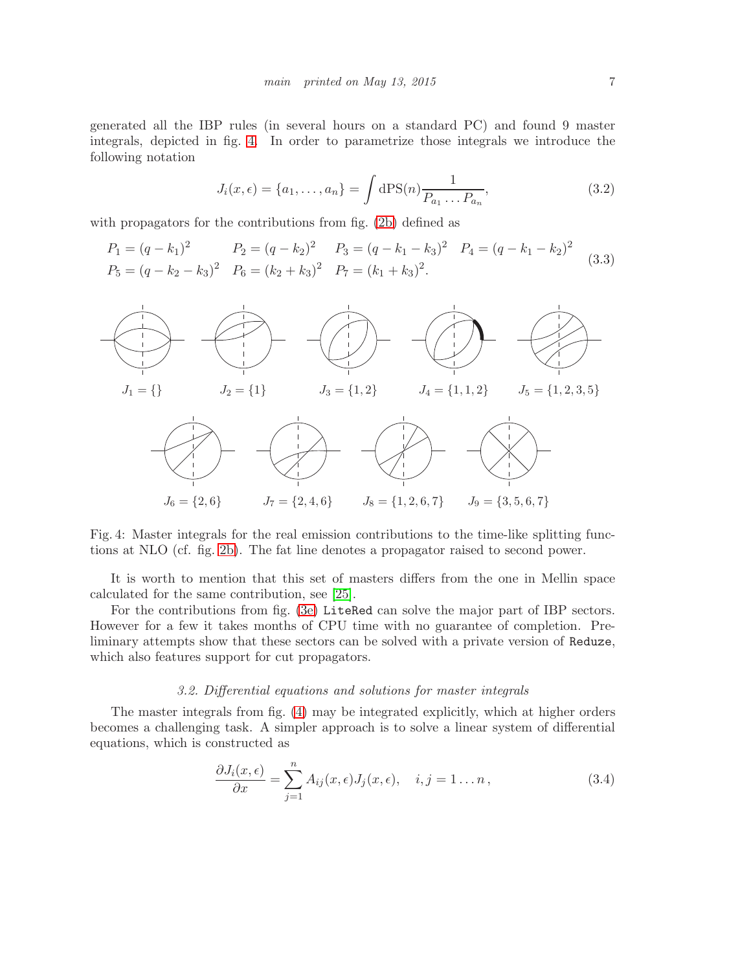generated all the IBP rules (in several hours on a standard PC) and found 9 master integrals, depicted in fig. [4.](#page-6-0) In order to parametrize those integrals we introduce the following notation

$$
J_i(x,\epsilon) = \{a_1, \dots, a_n\} = \int d\text{PS}(n) \frac{1}{P_{a_1} \dots P_{a_n}},
$$
\n(3.2)

with propagators for the contributions from fig. [\(2b\)](#page-4-3) defined as

$$
P_1 = (q - k_1)^2 \t P_2 = (q - k_2)^2 \t P_3 = (q - k_1 - k_3)^2 \t P_4 = (q - k_1 - k_2)^2 \t (3.3)
$$
  
\n
$$
P_5 = (q - k_2 - k_3)^2 \t P_6 = (k_2 + k_3)^2 \t P_7 = (k_1 + k_3)^2.
$$

<span id="page-6-0"></span>

Fig. 4: Master integrals for the real emission contributions to the time-like splitting functions at NLO (cf. fig. [2b\)](#page-4-3). The fat line denotes a propagator raised to second power.

It is worth to mention that this set of masters differs from the one in Mellin space calculated for the same contribution, see [\[25\]](#page-10-4).

For the contributions from fig. [\(3e\)](#page-5-0) LiteRed can solve the major part of IBP sectors. However for a few it takes months of CPU time with no guarantee of completion. Preliminary attempts show that these sectors can be solved with a private version of Reduze, which also features support for cut propagators.

#### 3.2. Differential equations and solutions for master integrals

The master integrals from fig. [\(4\)](#page-6-0) may be integrated explicitly, which at higher orders becomes a challenging task. A simpler approach is to solve a linear system of differential equations, which is constructed as

<span id="page-6-1"></span>
$$
\frac{\partial J_i(x,\epsilon)}{\partial x} = \sum_{j=1}^n A_{ij}(x,\epsilon) J_j(x,\epsilon), \quad i, j = 1 \dots n, \tag{3.4}
$$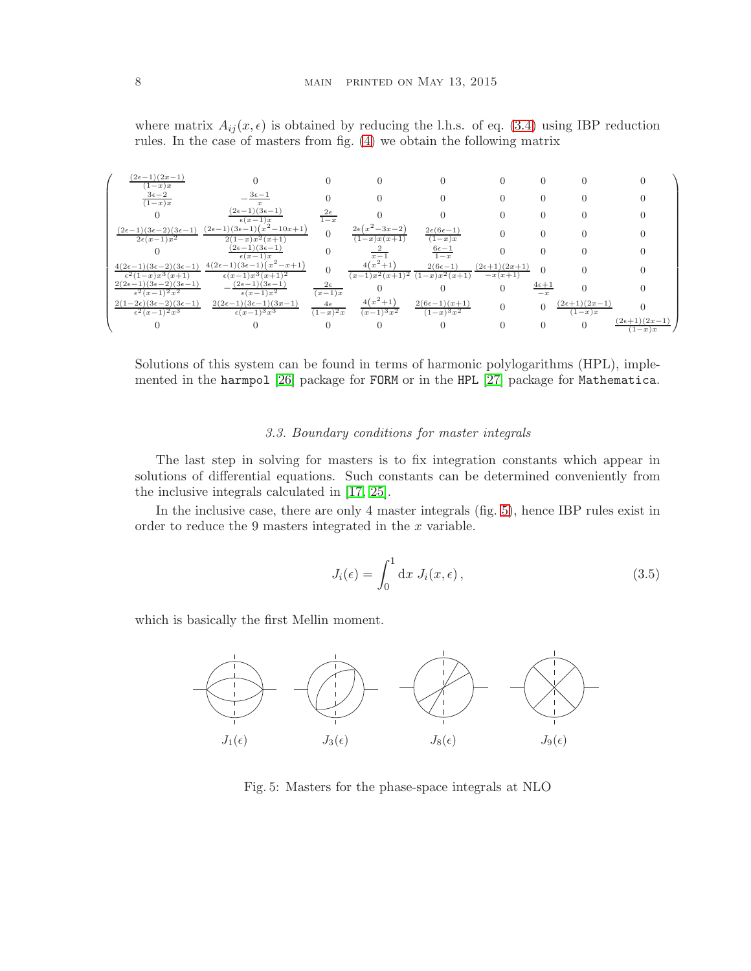where matrix  $A_{ij}(x, \epsilon)$  is obtained by reducing the l.h.s. of eq. [\(3.4\)](#page-6-1) using IBP reduction rules. In the case of masters from fig. [\(4\)](#page-6-0) we obtain the following matrix



Solutions of this system can be found in terms of harmonic polylogarithms (HPL), implemented in the harmpol [\[26\]](#page-10-5) package for FORM or in the HPL [\[27\]](#page-10-6) package for Mathematica.

### 3.3. Boundary conditions for master integrals

The last step in solving for masters is to fix integration constants which appear in solutions of differential equations. Such constants can be determined conveniently from the inclusive integrals calculated in [\[17,](#page-9-16) [25\]](#page-10-4).

In the inclusive case, there are only 4 master integrals (fig. [5\)](#page-7-0), hence IBP rules exist in order to reduce the 9 masters integrated in the  $x$  variable.

$$
J_i(\epsilon) = \int_0^1 \mathrm{d}x \ J_i(x, \epsilon) \,, \tag{3.5}
$$

<span id="page-7-0"></span>which is basically the first Mellin moment.



Fig. 5: Masters for the phase-space integrals at NLO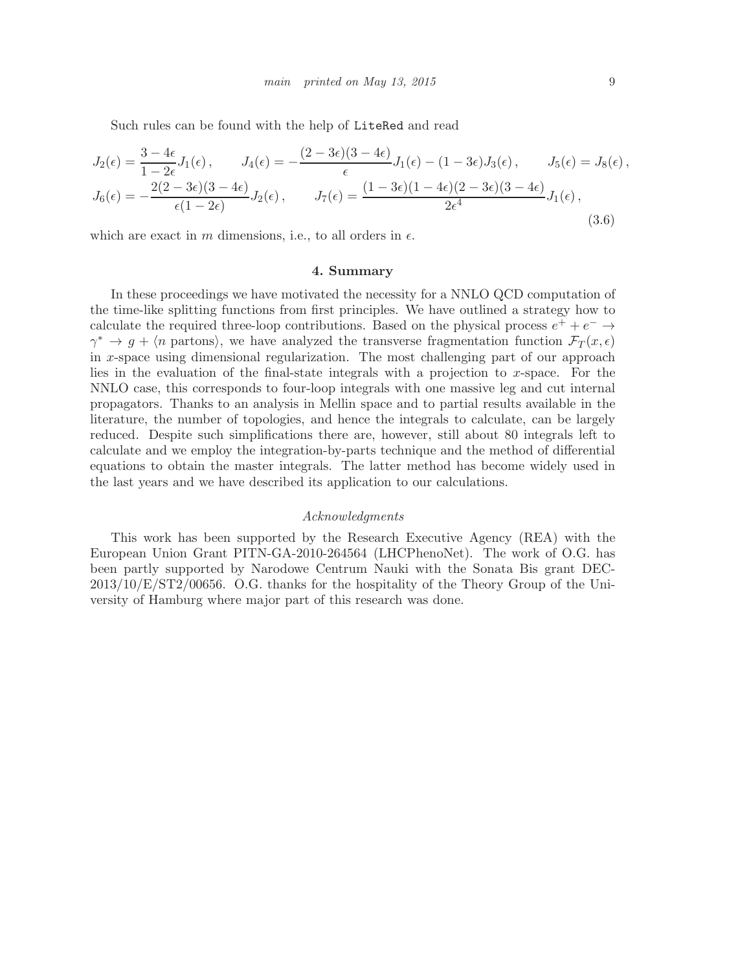Such rules can be found with the help of LiteRed and read

$$
J_2(\epsilon) = \frac{3 - 4\epsilon}{1 - 2\epsilon} J_1(\epsilon), \qquad J_4(\epsilon) = -\frac{(2 - 3\epsilon)(3 - 4\epsilon)}{\epsilon} J_1(\epsilon) - (1 - 3\epsilon) J_3(\epsilon), \qquad J_5(\epsilon) = J_8(\epsilon),
$$
  

$$
J_6(\epsilon) = -\frac{2(2 - 3\epsilon)(3 - 4\epsilon)}{\epsilon(1 - 2\epsilon)} J_2(\epsilon), \qquad J_7(\epsilon) = \frac{(1 - 3\epsilon)(1 - 4\epsilon)(2 - 3\epsilon)(3 - 4\epsilon)}{2\epsilon^4} J_1(\epsilon),
$$
(3.6)

<span id="page-8-0"></span>which are exact in m dimensions, i.e., to all orders in  $\epsilon$ .

#### 4. Summary

In these proceedings we have motivated the necessity for a NNLO QCD computation of the time-like splitting functions from first principles. We have outlined a strategy how to calculate the required three-loop contributions. Based on the physical process  $e^+ + e^- \rightarrow$  $\gamma^* \to g + \langle n \text{ partons} \rangle$ , we have analyzed the transverse fragmentation function  $\mathcal{F}_T(x,\epsilon)$ in x-space using dimensional regularization. The most challenging part of our approach lies in the evaluation of the final-state integrals with a projection to x-space. For the NNLO case, this corresponds to four-loop integrals with one massive leg and cut internal propagators. Thanks to an analysis in Mellin space and to partial results available in the literature, the number of topologies, and hence the integrals to calculate, can be largely reduced. Despite such simplifications there are, however, still about 80 integrals left to calculate and we employ the integration-by-parts technique and the method of differential equations to obtain the master integrals. The latter method has become widely used in the last years and we have described its application to our calculations.

#### Acknowledgments

This work has been supported by the Research Executive Agency (REA) with the European Union Grant PITN-GA-2010-264564 (LHCPhenoNet). The work of O.G. has been partly supported by Narodowe Centrum Nauki with the Sonata Bis grant DEC-2013/10/E/ST2/00656. O.G. thanks for the hospitality of the Theory Group of the University of Hamburg where major part of this research was done.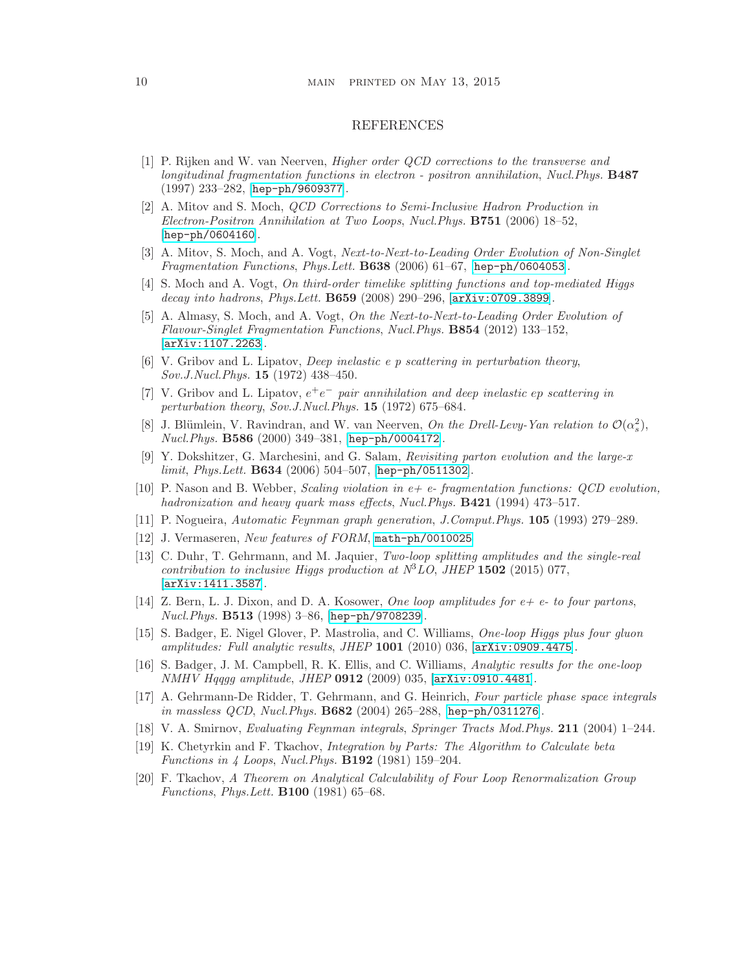#### 10 MAIN PRINTED ON MAY 13, 2015

#### REFERENCES

- <span id="page-9-0"></span>[1] P. Rijken and W. van Neerven, Higher order QCD corrections to the transverse and longitudinal fragmentation functions in electron - positron annihilation, Nucl.Phys. B487 (1997) 233–282, [[hep-ph/9609377](http://arxiv.org/abs/hep-ph/9609377)].
- <span id="page-9-1"></span>[2] A. Mitov and S. Moch, QCD Corrections to Semi-Inclusive Hadron Production in Electron-Positron Annihilation at Two Loops, Nucl.Phys. B751 (2006) 18–52, [[hep-ph/0604160](http://arxiv.org/abs/hep-ph/0604160)].
- <span id="page-9-2"></span>[3] A. Mitov, S. Moch, and A. Vogt, Next-to-Next-to-Leading Order Evolution of Non-Singlet Fragmentation Functions, Phys.Lett. B638 (2006) 61–67, [[hep-ph/0604053](http://arxiv.org/abs/hep-ph/0604053)].
- <span id="page-9-3"></span>[4] S. Moch and A. Vogt, On third-order timelike splitting functions and top-mediated Higgs decay into hadrons, Phys. Lett. **B659** (2008) 290-296, [arXiv: 0709.3899].
- <span id="page-9-4"></span>[5] A. Almasy, S. Moch, and A. Vogt, On the Next-to-Next-to-Leading Order Evolution of Flavour-Singlet Fragmentation Functions, Nucl.Phys. B854 (2012) 133–152, [[arXiv:1107.2263](http://arxiv.org/abs/1107.2263)].
- <span id="page-9-5"></span>[6] V. Gribov and L. Lipatov, Deep inelastic e p scattering in perturbation theory, Sov.J.Nucl.Phys. 15 (1972) 438–450.
- <span id="page-9-6"></span>[7] V. Gribov and L. Lipatov,  $e^+e^-$  pair annihilation and deep inelastic ep scattering in perturbation theory, Sov.J.Nucl.Phys. 15 (1972) 675–684.
- <span id="page-9-7"></span>[8] J. Blümlein, V. Ravindran, and W. van Neerven, On the Drell-Levy-Yan relation to  $\mathcal{O}(\alpha_s^2)$ , Nucl.Phys. B586 (2000) 349–381, [[hep-ph/0004172](http://arxiv.org/abs/hep-ph/0004172)].
- <span id="page-9-8"></span>[9] Y. Dokshitzer, G. Marchesini, and G. Salam, Revisiting parton evolution and the large-x  $limit, Phys. Lett. B634 (2006) 504–507, [hep-ph/0511302].$  $limit, Phys. Lett. B634 (2006) 504–507, [hep-ph/0511302].$  $limit, Phys. Lett. B634 (2006) 504–507, [hep-ph/0511302].$
- <span id="page-9-9"></span>[10] P. Nason and B. Webber, Scaling violation in  $e+e$ - fragmentation functions: QCD evolution, hadronization and heavy quark mass effects, Nucl. Phys. **B421** (1994) 473–517.
- <span id="page-9-11"></span><span id="page-9-10"></span>[11] P. Nogueira, Automatic Feynman graph generation, J.Comput.Phys. 105 (1993) 279–289.
- <span id="page-9-12"></span>[12] J. Vermaseren, New features of FORM, [math-ph/0010025](http://arxiv.org/abs/math-ph/0010025).
- [13] C. Duhr, T. Gehrmann, and M. Jaquier, Two-loop splitting amplitudes and the single-real contribution to inclusive Higgs production at  $N<sup>3</sup>LO$ , JHEP 1502 (2015) 077, [[arXiv:1411.3587](http://arxiv.org/abs/1411.3587)].
- <span id="page-9-13"></span>[14] Z. Bern, L. J. Dixon, and D. A. Kosower, *One loop amplitudes for*  $e+e$ *- to four partons*, *Nucl.Phys.*  $B513$  (1998) 3-86, [[hep-ph/9708239](http://arxiv.org/abs/hep-ph/9708239)].
- <span id="page-9-14"></span>[15] S. Badger, E. Nigel Glover, P. Mastrolia, and C. Williams, One-loop Higgs plus four gluon amplitudes: Full analytic results, JHEP 1001 (2010) 036, [[arXiv:0909.4475](http://arxiv.org/abs/0909.4475)].
- <span id="page-9-15"></span>[16] S. Badger, J. M. Campbell, R. K. Ellis, and C. Williams, Analytic results for the one-loop NMHV Hqqgg amplitude, JHEP 0912 (2009) 035, [[arXiv:0910.4481](http://arxiv.org/abs/0910.4481)].
- <span id="page-9-16"></span>[17] A. Gehrmann-De Ridder, T. Gehrmann, and G. Heinrich, Four particle phase space integrals in massless QCD, Nucl.Phys.  $B682$  (2004) 265–288, [[hep-ph/0311276](http://arxiv.org/abs/hep-ph/0311276)].
- <span id="page-9-18"></span><span id="page-9-17"></span>[18] V. A. Smirnov, Evaluating Feynman integrals, Springer Tracts Mod.Phys. 211 (2004) 1–244.
- [19] K. Chetyrkin and F. Tkachov, Integration by Parts: The Algorithm to Calculate beta Functions in 4 Loops, Nucl.Phys. B192 (1981) 159–204.
- <span id="page-9-19"></span>[20] F. Tkachov, A Theorem on Analytical Calculability of Four Loop Renormalization Group Functions, Phys.Lett. B100 (1981) 65–68.